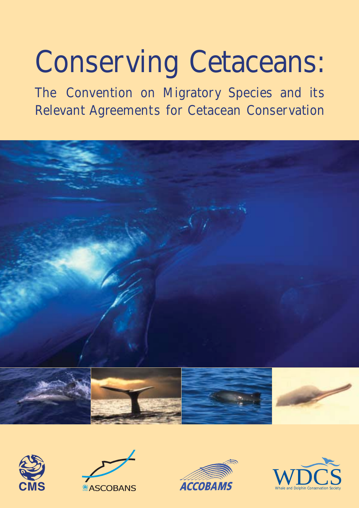# **Conserving Cetaceans:**

**The Convention on Migratory Species and its Relevant Agreements for Cetacean Conservation**











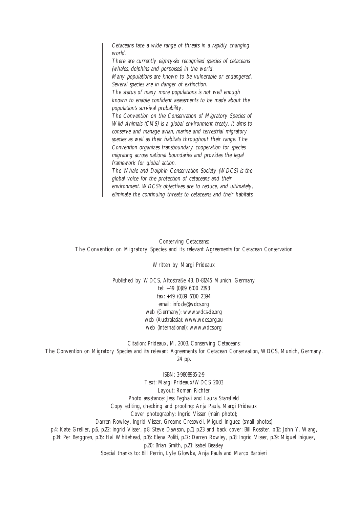Cetaceans face a wide range of threats in a rapidly changing world. There are currently eighty-six recognised species of cetaceans (whales, dolphins and porpoises) in the world. Many populations are known to be vulnerable or endangered. Several species are in danger of extinction. The status of many more populations is not well enough known to enable confident assessments to be made about the population's survival probability. The Convention on the Conservation of Migratory Species of Wild Animals (CMS) is a global environment treaty. It aims to conserve and manage avian, marine and terrestrial migratory species as well as their habitats throughout their range. The Convention organizes transboundary cooperation for species migrating across national boundaries and provides the legal framework for global action. The Whale and Dolphin Conservation Society (WDCS) is the global voice for the protection of cetaceans and their environment. WDCS's objectives are to reduce, and ultimately, eliminate the continuing threats to cetaceans and their habitats.

Conserving Cetaceans: The Convention on Migratory Species and its relevant Agreements for Cetacean Conservation

Written by Margi Prideaux

Published by WDCS, Altostraße 43, D-81245 Munich, Germany tel: +49 (0)89 6100 2393 fax: +49 (0)89 6100 2394 email: info.de@wdcs.org web (Germany): www.wdcs-de.org web (Australasia): www.wdcs.org.au web (International): www.wdcs.org

Citation: Prideaux, M. 2003. Conserving Cetaceans: The Convention on Migratory Species and its relevant Agreements for Cetacean Conservation, WDCS, Munich, Germany. 24 pp.

ISBN: 3-9808935-2-9 Text: Margi Prideaux/WDCS 2003 Layout: Roman Richter Photo assistance: Jess Feghali and Laura Stansfield Copy editing, checking and proofing: Anja Pauls, Margi Prideaux Cover photography: Ingrid Visser (main photo); Darren Rowley, Ingrid Visser, Greame Cresswell, Miguel Iniguez (small photos) p.4: Kate Grellier, p.6, p.22: Ingrid Visser, p.8: Steve Dawson, p.11, p.23 and back cover: Bill Rossiter, p.12: John Y. Wang, p.14: Per Berggren, p.15: Hal Whitehead, p.16: Elena Politi, p.17: Darren Rowley, p.18: Ingrid Visser, p.19: Miguel Iniguez, p.20: Brian Smith, p.21: Isabel Beasley Special thanks to: Bill Perrin, Lyle Glowka, Anja Pauls and Marco Barbieri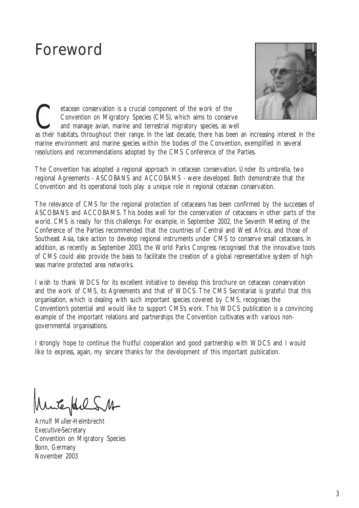## Foreword



etacean conservation is a crucial component of the work of the Convention on Migratory Species (CMS), which aims to conservand manage avian, marine and terrestrial migratory species, as we as their babitats, throughout the Convention on Migratory Species (CMS), which aims to conserve and manage avian, marine and terrestrial migratory species, as well

as their habitats, throughout their range. In the last decade, there has been an increasing interest in the marine environment and marine species within the bodies of the Convention, exemplified in several resolutions and recommendations adopted by the CMS Conference of the Parties.

The Convention has adopted a regional approach in cetacean conservation. Under its umbrella, two regional Agreements - ASCOBANS and ACCOBAMS - were developed. Both demonstrate that the Convention and its operational tools play a unique role in regional cetacean conservation.

The relevance of CMS for the regional protection of cetaceans has been confirmed by the successes of ASCOBANS and ACCOBAMS. This bodes well for the conservation of cetaceans in other parts of the world. CMS is ready for this challenge. For example, in September 2002, the Seventh Meeting of the Conference of the Parties recommended that the countries of Central and West Africa, and those of Southeast Asia, take action to develop regional instruments under CMS to conserve small cetaceans. In addition, as recently as September 2003, the World Parks Congress recognised that the innovative tools of CMS could also provide the basis to facilitate the creation of a global representative system of high seas marine protected area networks.

I wish to thank WDCS for its excellent initiative to develop this brochure on cetacean conservation and the work of CMS, its Agreements and that of WDCS. The CMS Secretariat is grateful that this organisation, which is dealing with such important species covered by CMS, recognises the Convention's potential and would like to support CMS's work. This WDCS publication is a convincing example of the important relations and partnerships the Convention cultivates with various nongovernmental organisations.

I strongly hope to continue the fruitful cooperation and good partnership with WDCS and I would like to express, again, my sincere thanks for the development of this important publication.

testal

Arnulf Müller-Helmbrecht Executive-Secretary Convention on Migratory Species Bonn, Germany November 2003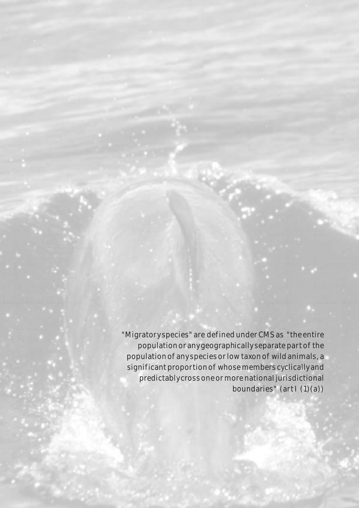"Migratory species" are def ined under CMS as "the entire population or any geographically separate part of the population of any species or low taxon of wild animals, a significant proportion of whose members cyclically and predictably cross one or more national jurisdictional boundaries" (artl (1)(a))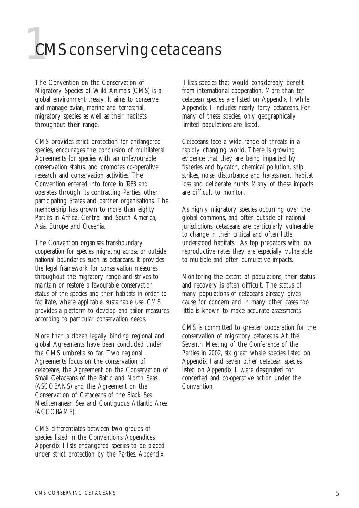## **1**CMS conserving cetaceans

The Convention on the Conservation of Migratory Species of Wild Animals (CMS) is a global environment treaty. It aims to conserve and manage avian, marine and terrestrial, migratory species as well as their habitats throughout their range.

CMS provides strict protection for endangered species, encourages the conclusion of multilateral Agreements for species with an unfavourable conservation status, and promotes co-operative research and conservation activities. The Convention entered into force in 1983 and operates through its contracting Parties, other participating States and partner organisations. The membership has grown to more than eighty Parties in Africa, Central and South America, Asia, Europe and Oceania.

The Convention organises transboundary cooperation for species migrating across or outside national boundaries, such as cetaceans. It provides the legal framework for conservation measures throughout the migratory range and strives to maintain or restore a favourable conservation status of the species and their habitats in order to facilitate, where applicable, sustainable use. CMS provides a platform to develop and tailor measures according to particular conservation needs.

More than a dozen legally binding regional and global Agreements have been concluded under the CMS umbrella so far. Two regional Agreements focus on the conservation of cetaceans, the Agreement on the Conservation of Small Cetaceans of the Baltic and North Seas (ASCOBANS) and the Agreement on the Conservation of Cetaceans of the Black Sea, Mediterranean Sea and Contiguous Atlantic Area (ACCOBAMS).

CMS differentiates between two groups of species listed in the Convention's Appendices. Appendix I lists endangered species to be placed under strict protection by the Parties. Appendix

II lists species that would considerably benefit from international cooperation. More than ten cetacean species are listed on Appendix I, while Appendix II includes nearly forty cetaceans. For many of these species, only geographically limited populations are listed.

Cetaceans face a wide range of threats in a rapidly changing world. There is growing evidence that they are being impacted by fisheries and bycatch, chemical pollution, ship strikes, noise, disturbance and harassment, habitat loss and deliberate hunts. Many of these impacts are difficult to monitor.

As highly migratory species occurring over the global commons, and often outside of national jurisdictions, cetaceans are particularly vulnerable to change in their critical and often little understood habitats. As top predators with low reproductive rates they are especially vulnerable to multiple and often cumulative impacts.

Monitoring the extent of populations, their status and recovery is often difficult. The status of many populations of cetaceans already gives cause for concern and in many other cases too little is known to make accurate assessments.

CMS is committed to greater cooperation for the conservation of migratory cetaceans. At the Seventh Meeting of the Conference of the Parties in 2002, six great whale species listed on Appendix I and seven other cetacean species listed on Appendix II were designated for concerted and co-operative action under the Convention.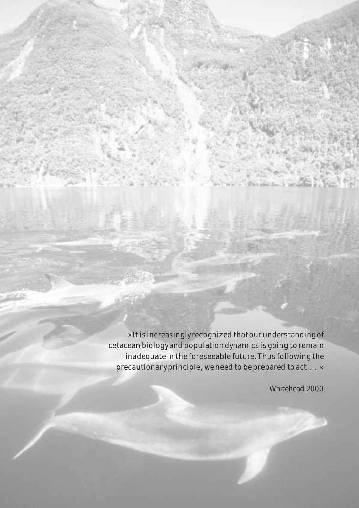»It is increasingly recognized that our understanding of cetacean biology and population dynamics is going to remain inadequate in the foreseeable future. Thus following the precautionary principle, we need to be prepared to act ... «

92 D.

**Whitehead 2000**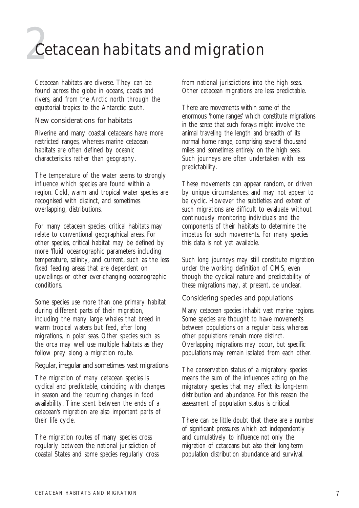## **2**Cetacean habitats and migration

Cetacean habitats are diverse. They can be found across the globe in oceans, coasts and rivers, and from the Arctic north through the equatorial tropics to the Antarctic south.

#### **New considerations for habitats**

Riverine and many coastal cetaceans have more restricted ranges, whereas marine cetacean habitats are often defined by oceanic characteristics rather than geography.

The temperature of the water seems to strongly influence which species are found within a region. Cold, warm and tropical water species are recognised with distinct, and sometimes overlapping, distributions.

For many cetacean species, critical habitats may relate to conventional geographical areas. For other species, critical habitat may be defined by more 'fluid' oceanographic parameters including temperature, salinity, and current, such as the less fixed feeding areas that are dependent on upwellings or other ever-changing oceanographic conditions.

Some species use more than one primary habitat during different parts of their migration, including the many large whales that breed in warm tropical waters but feed, after long migrations, in polar seas. Other species such as the orca may well use multiple habitats as they follow prey along a migration route.

#### **Regular, irregular and sometimes vast migrations**

The migration of many cetacean species is cyclical and predictable, coinciding with changes in season and the recurring changes in food availability. Time spent between the ends of a cetacean's migration are also important parts of their life cycle.

The migration routes of many species cross regularly between the national jurisdiction of coastal States and some species regularly cross from national jurisdictions into the high seas. Other cetacean migrations are less predictable.

There are movements within some of the enormous 'home ranges' which constitute migrations in the sense that such forays might involve the animal traveling the length and breadth of its normal home range, comprising several thousand miles and sometimes entirely on the high seas. Such journeys are often undertaken with less predictability.

These movements can appear random, or driven by unique circumstances, and may not appear to be cyclic. However the subtleties and extent of such migrations are difficult to evaluate without continuously monitoring individuals and the components of their habitats to determine the impetus for such movements. For many species this data is not yet available.

Such long journeys may still constitute migration under the working definition of CMS, even though the cyclical nature and predictability of these migrations may, at present, be unclear.

#### **Considering species and populations**

Many cetacean species inhabit vast marine regions. Some species are thought to have movements between populations on a regular basis, whereas other populations remain more distinct. Overlapping migrations may occur, but specific populations may remain isolated from each other.

The conservation status of a migratory species means the sum of the influences acting on the migratory species that may affect its long-term distribution and abundance. For this reason the assessment of population status is critical.

There can be little doubt that there are a number of significant pressures which act independently and cumulatively to influence not only the migration of cetaceans but also their long-term population distribution abundance and survival.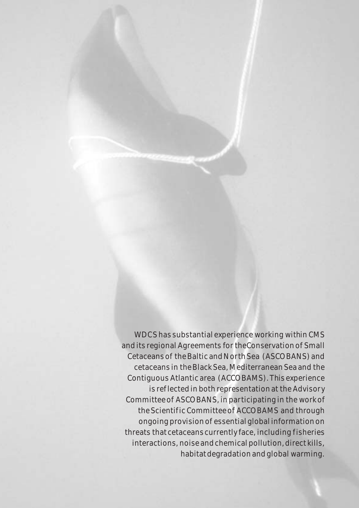WDCS has substantial experience working within CMS and its regional Agreements for theConservation of Small Cetaceans of the Baltic and North Sea (ASCOBANS) and cetaceans in the Black Sea, Mediterranean Sea and the Contiguous Atlantic area (ACCOBAMS). This experience is ref lected in both representation at the Advisory Committee of ASCOBANS, in participating in the work of the Scientif ic Committee of ACCOBAMS and through ongoing provision of essential global information on threats that cetaceans currently face, including fisheries interactions, noise and chemical pollution, direct kills, habitat degradation and global warming.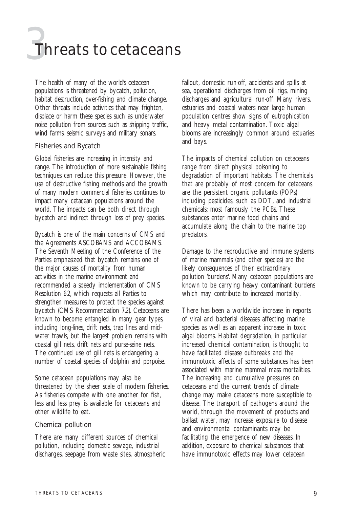# **3**Threats to cetaceans

The health of many of the world's cetacean populations is threatened by bycatch, pollution, habitat destruction, over-fishing and climate change. Other threats include activities that may frighten, displace or harm these species such as underwater noise pollution from sources such as shipping traffic, wind farms, seismic surveys and military sonars.

#### **Fisheries and Bycatch**

Global fisheries are increasing in intensity and range. The introduction of more sustainable fishing techniques can reduce this pressure. However, the use of destructive fishing methods and the growth of many modern commercial fisheries continues to impact many cetacean populations around the world. The impacts can be both direct through bycatch and indirect through loss of prey species.

Bycatch is one of the main concerns of CMS and the Agreements ASCOBANS and ACCOBAMS. The Seventh Meeting of the Conference of the Parties emphasized that bycatch remains one of the major causes of mortality from human activities in the marine environment and recommended a speedy implementation of CMS Resolution 6.2, which requests all Parties to strengthen measures to protect the species against bycatch (CMS Recommendation 7.2). Cetaceans are known to become entangled in many gear types, including long-lines, drift nets, trap lines and midwater trawls, but the largest problem remains with coastal gill nets, drift nets and purse-seine nets. The continued use of gill nets is endangering a number of coastal species of dolphin and porpoise.

Some cetacean populations may also be threatened by the sheer scale of modern fisheries. As fisheries compete with one another for fish, less and less prey is available for cetaceans and other wildlife to eat.

#### **Chemical pollution**

There are many different sources of chemical pollution, including domestic sewage, industrial discharges, seepage from waste sites, atmospheric fallout, domestic run-off, accidents and spills at sea, operational discharges from oil rigs, mining discharges and agricultural run-off. Many rivers, estuaries and coastal waters near large human population centres show signs of eutrophication and heavy metal contamination. Toxic algal blooms are increasingly common around estuaries and bays.

The impacts of chemical pollution on cetaceans range from direct physical poisoning to degradation of important habitats. The chemicals that are probably of most concern for cetaceans are the persistent organic pollutants (POPs) including pesticides, such as DDT, and industrial chemicals; most famously the PCBs. These substances enter marine food chains and accumulate along the chain to the marine top predators.

Damage to the reproductive and immune systems of marine mammals (and other species) are the likely consequences of their extraordinary pollution 'burdens'. Many cetacean populations are known to be carrying heavy contaminant burdens which may contribute to increased mortality.

There has been a worldwide increase in reports of viral and bacterial diseases affecting marine species as well as an apparent increase in toxic algal blooms. Habitat degradation, in particular increased chemical contamination, is thought to have facilitated disease outbreaks and the immunotoxic affects of some substances has been associated with marine mammal mass mortalities. The increasing and cumulative pressures on cetaceans and the current trends of climate change may make cetaceans more susceptible to disease. The transport of pathogens around the world, through the movement of products and ballast water, may increase exposure to disease and environmental contaminants may be facilitating the emergence of new diseases. In addition, exposure to chemical substances that have immunotoxic effects may lower cetacean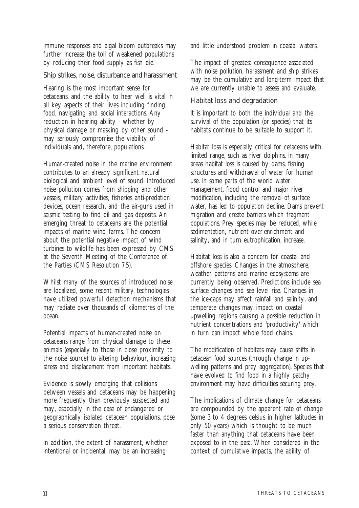immune responses and algal bloom outbreaks may further increase the toll of weakened populations by reducing their food supply as fish die.

#### **Ship strikes, noise, disturbance and harassment**

Hearing is the most important sense for cetaceans, and the ability to hear well is vital in all key aspects of their lives including finding food, navigating and social interactions. Any reduction in hearing ability - whether by physical damage or masking by other sound may seriously compromise the viability of individuals and, therefore, populations.

Human-created noise in the marine environment contributes to an already significant natural biological and ambient level of sound. Introduced noise pollution comes from shipping and other vessels, military activities, fisheries anti-predation devices, ocean research, and the air-guns used in seismic testing to find oil and gas deposits. An emerging threat to cetaceans are the potential impacts of marine wind farms. The concern about the potential negative impact of wind turbines to wildlife has been expressed by CMS at the Seventh Meeting of the Conference of the Parties (CMS Resolution 7.5).

Whilst many of the sources of introduced noise are localized, some recent military technologies have utilized powerful detection mechanisms that may radiate over thousands of kilometres of the ocean.

Potential impacts of human-created noise on cetaceans range from physical damage to these animals (especially to those in close proximity to the noise source) to altering behaviour, increasing stress and displacement from important habitats.

Evidence is slowly emerging that collisions between vessels and cetaceans may be happening more frequently than previously suspected and may, especially in the case of endangered or geographically isolated cetacean populations, pose a serious conservation threat.

In addition, the extent of harassment, whether intentional or incidental, may be an increasing

and little understood problem in coastal waters.

The impact of greatest consequence associated with noise pollution, harassment and ship strikes may be the cumulative and long-term impact that we are currently unable to assess and evaluate.

#### **Habitat loss and degradation**

It is important to both the individual and the survival of the population (or species) that its habitats continue to be suitable to support it.

Habitat loss is especially critical for cetaceans with limited range, such as river dolphins. In many areas habitat loss is caused by dams, fishing structures and withdrawal of water for human use. In some parts of the world water management, flood control and major river modification, including the removal of surface water, has led to population decline. Dams prevent migration and create barriers which fragment populations. Prey species may be reduced, while sedimentation, nutrient over-enrichment and salinity, and in turn eutrophication, increase.

Habitat loss is also a concern for coastal and offshore species. Changes in the atmosphere, weather patterns and marine ecosystems are currently being observed. Predictions include sea surface changes and sea level rise. Changes in the ice-caps may affect rainfall and salinity, and temperate changes may impact on coastal upwelling regions causing a possible reduction in nutrient concentrations and 'productivity' which in turn can impact whole food chains.

The modification of habitats may cause shifts in cetacean food sources (through change in upwelling patterns and prey aggregation). Species that have evolved to find food in a highly patchy environment may have difficulties securing prey.

The implications of climate change for cetaceans are compounded by the apparent rate of change (some 3 to 4 degrees celsius in higher latitudes in only 50 years) which is thought to be much faster than anything that cetaceans have been exposed to in the past. When considered in the context of cumulative impacts, the ability of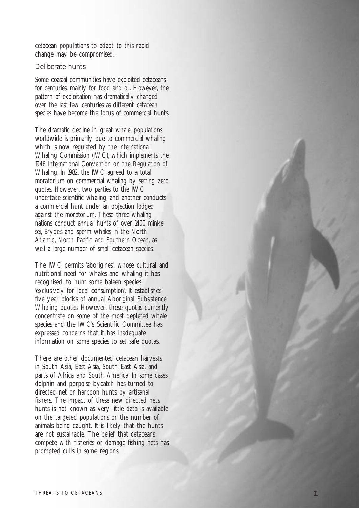cetacean populations to adapt to this rapid change may be compromised.

#### **Deliberate hunts**

Some coastal communities have exploited cetaceans for centuries, mainly for food and oil. However, the pattern of exploitation has dramatically changed over the last few centuries as different cetacean species have become the focus of commercial hunts.

The dramatic decline in 'great whale' populations worldwide is primarily due to commercial whaling which is now regulated by the International Whaling Commission (IWC), which implements the 1946 International Convention on the Regulation of Whaling. In 1982, the IWC agreed to a total moratorium on commercial whaling by setting zero quotas. However, two parties to the IWC undertake scientific whaling, and another conducts a commercial hunt under an objection lodged against the moratorium. These three whaling nations conduct annual hunts of over 1400 minke, sei, Bryde's and sperm whales in the North Atlantic, North Pacific and Southern Ocean, as well a large number of small cetacean species.

The IWC permits 'aborigines', whose cultural and nutritional need for whales and whaling it has recognised, to hunt some baleen species 'exclusively for local consumption'. It establishes five year blocks of annual Aboriginal Subsistence Whaling quotas. However, these quotas currently concentrate on some of the most depleted whale species and the IWC's Scientific Committee has expressed concerns that it has inadequate information on some species to set safe quotas.

There are other documented cetacean harvests in South Asia, East Asia, South East Asia, and parts of Africa and South America. In some cases, dolphin and porpoise bycatch has turned to directed net or harpoon hunts by artisanal fishers. The impact of these new directed nets hunts is not known as very little data is available on the targeted populations or the number of animals being caught. It is likely that the hunts are not sustainable. The belief that cetaceans compete with fisheries or damage fishing nets has prompted culls in some regions.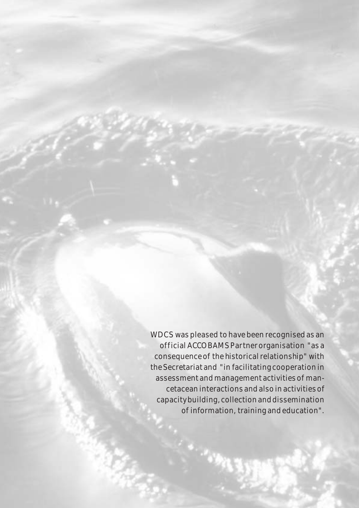WDCS was pleased to have been recognised as an off icial ACCOBAMS Partner organisation "as a consequence of the historical relationship" with the Secretariat and "in facilitating cooperation in assessment and management activities of mancetacean interactions and also in activities of capacity building, collection and dissemination of information, training and education".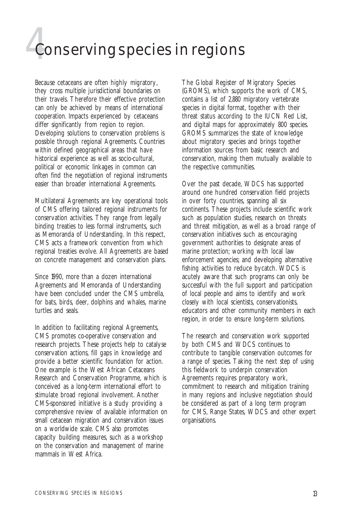## **4**Conserving species in regions

Because cetaceans are often highly migratory, they cross multiple jurisdictional boundaries on their travels. Therefore their effective protection can only be achieved by means of international cooperation. Impacts experienced by cetaceans differ significantly from region to region. Developing solutions to conservation problems is possible through regional Agreements. Countries within defined geographical areas that have historical experience as well as socio-cultural, political or economic linkages in common can often find the negotiation of regional instruments easier than broader international Agreements.

Multilateral Agreements are key operational tools of CMS offering tailored regional instruments for conservation activities. They range from legally binding treaties to less formal instruments, such as Memoranda of Understanding. In this respect, CMS acts a framework convention from which regional treaties evolve. All Agreements are based on concrete management and conservation plans.

Since 1990, more than a dozen international Agreements and Memoranda of Understanding have been concluded under the CMS umbrella, for bats, birds, deer, dolphins and whales, marine turtles and seals.

In addition to facilitating regional Agreements, CMS promotes co-operative conservation and research projects. These projects help to catalyse conservation actions, fill gaps in knowledge and provide a better scientific foundation for action. One example is the West African Cetaceans Research and Conservation Programme, which is conceived as a long-term international effort to stimulate broad regional involvement. Another CMS-sponsored initiative is a study providing a comprehensive review of available information on small cetacean migration and conservation issues on a worldwide scale. CMS also promotes capacity building measures, such as a workshop on the conservation and management of marine mammals in West Africa.

The Global Register of Migratory Species (GROMS), which supports the work of CMS, contains a list of 2,880 migratory vertebrate species in digital format, together with their threat status according to the IUCN Red List, and digital maps for approximately 800 species. GROMS summarizes the state of knowledge about migratory species and brings together information sources from basic research and conservation, making them mutually available to the respective communities.

Over the past decade, WDCS has supported around one hundred conservation field projects in over forty countries, spanning all six continents. These projects include scientific work such as population studies, research on threats and threat mitigation, as well as a broad range of conservation initiatives such as encouraging government authorities to designate areas of marine protection; working with local law enforcement agencies; and developing alternative fishing activities to reduce bycatch. WDCS is acutely aware that such programs can only be successful with the full support and participation of local people and aims to identify and work closely with local scientists, conservationists, educators and other community members in each region, in order to ensure long-term solutions.

The research and conservation work supported by both CMS and WDCS continues to contribute to tangible conservation outcomes for a range of species. Taking the next step of using this fieldwork to underpin conservation Agreements requires preparatory work, commitment to research and mitigation training in many regions and inclusive negotiation should be considered as part of a long term program for CMS, Range States, WDCS and other expert organisations.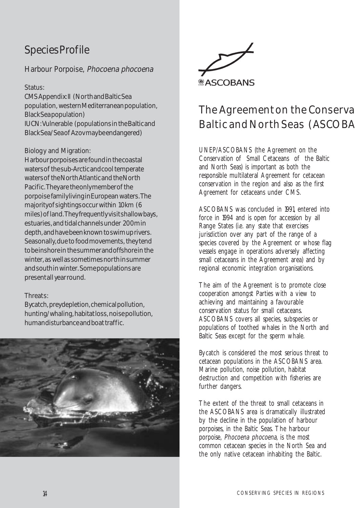#### **Harbour Porpoise,** Phocoena phocoena

#### **Status:**

CMS Appendix: II (North and Baltic Sea population, western Mediterranean population, Black Sea population) IUCN: Vulnerable (populations in the Baltic and Black Sea/Sea of Azov may be endangered)

#### **Biology and Migration:**

Harbour porpoises are found in the coastal waters of the sub-Arctic and cool temperate waters of the North Atlantic and the North Pacific. They are the only member of the porpoise family living in European waters. The majority of sightings occur within 10km (6 miles) of land. They frequently visit shallow bays, estuaries, and tidal channels under 200m in depth, and have been known to swim up rivers. Seasonally, due to food movements, they tend to be inshore in the summer and offshore in the winter, as well as sometimes north in summer and south in winter. Some populations are present all year round.

#### **Threats:**

Bycatch, prey depletion, chemical pollution, hunting/whaling, habitat loss, noise pollution, human disturbance and boat traffic.





## The Agreement on the Conserva Baltic and North Seas (ASCOBA

UNEP/ASCOBANS (the Agreement on the Conservation of Small Cetaceans of the Baltic and North Seas) is important as both the responsible multilateral Agreement for cetacean conservation in the region and also as the first Agreement for cetaceans under CMS.

ASCOBANS was concluded in 1991, entered into force in 1994 and is open for accession by all Range States (i.e. any state that exercises jurisdiction over any part of the range of a species covered by the Agreement or whose flag vessels engage in operations adversely affecting small cetaceans in the Agreement area) and by regional economic integration organisations.

The aim of the Agreement is to promote close cooperation amongst Parties with a view to achieving and maintaining a favourable conservation status for small cetaceans. ASCOBANS covers all species, subspecies or populations of toothed whales in the North and Baltic Seas except for the sperm whale.

Bycatch is considered the most serious threat to cetacean populations in the ASCOBANS area. Marine pollution, noise pollution, habitat destruction and competition with fisheries are further dangers.

The extent of the threat to small cetaceans in the ASCOBANS area is dramatically illustrated by the decline in the population of harbour porpoises, in the Baltic Seas. The harbour porpoise, Phocoena phocoena, is the most common cetacean species in the North Sea and the only native cetacean inhabiting the Baltic.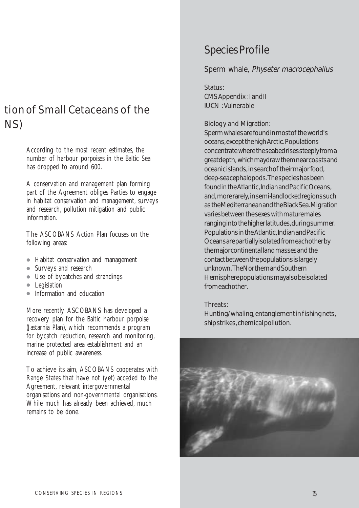## tion of Small Cetaceans of the NS)

According to the most recent estimates, the number of harbour porpoises in the Baltic Sea has dropped to around 600.

A conservation and management plan forming part of the Agreement obliges Parties to engage in habitat conservation and management, surveys and research, pollution mitigation and public information.

The ASCOBANS Action Plan focuses on the following areas:

- Habitat conservation and management
- Surveys and research
- Use of bycatches and strandings
- Legislation
- Information and education

More recently ASCOBANS has developed a recovery plan for the Baltic harbour porpoise (Jastarnia Plan), which recommends a program for bycatch reduction, research and monitoring, marine protected area establishment and an increase of public awareness.

To achieve its aim, ASCOBANS cooperates with Range States that have not (yet) acceded to the Agreement, relevant intergovernmental organisations and non-governmental organisations. While much has already been achieved, much remains to be done.

### Species Profile

#### **Sperm whale,** Physeter macrocephallus

#### **Status:**

CMS Appendix : I and II IUCN : Vulnerable

#### **Biology and Migration:**

Sperm whales are found in most of the world's oceans, except the high Arctic. Populations concentrate where the seabed rises steeply from a great depth, which may draw them near coasts and oceanic islands, in search of their major food, deep-sea cephalopods. The species has been found in the Atlantic, Indian and Pacific Oceans, and, more rarely, in semi-landlocked regions such as the Mediterranean and the Black Sea. Migration varies between the sexes with mature males ranging into the higher latitudes, during summer. Populations in the Atlantic, Indian and Pacific Oceans are partially isolated from each other by the major continental land masses and the contact between the populations is largely unknown. The Northern and Southern Hemisphere populations may also be isolated from each other.

#### **Threats:**

Hunting/whaling, entanglement in fishing nets, ship strikes, chemical pollution.

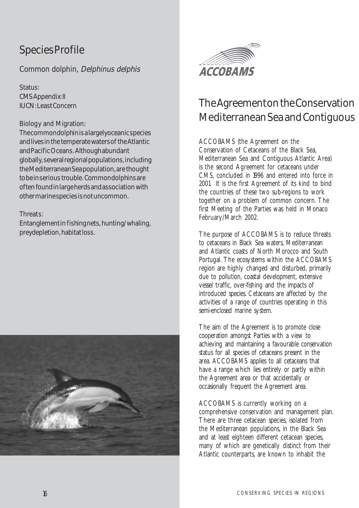**Common dolphin**, Delphinus delphis

**Status:** CMS Appendix: II IUCN: Least Concern

#### **Biology and Migration:**

The common dolphin is a largely oceanic species and lives in the temperate waters of the Atlantic and Pacific Oceans. Although abundant globally, several regional populations, including the Mediterranean Sea population, are thought to be in serious trouble. Common dolphins are often found in large herds and association with other marine species is not uncommon.

#### **Threats:**

Entanglement in fishing nets, hunting/whaling, prey depletion, habitat loss.





## The Agreement on the Conservation Mediterranean Sea and Contiguous

ACCOBAMS (the Agreement on the Conservation of Cetaceans of the Black Sea, Mediterranean Sea and Contiguous Atlantic Area) is the second Agreement for cetaceans under CMS, concluded in 1996 and entered into force in 2001. It is the first Agreement of its kind to bind the countries of these two sub-regions to work together on a problem of common concern. The first Meeting of the Parties was held in Monaco February/March 2002.

The purpose of ACCOBAMS is to reduce threats to cetaceans in Black Sea waters, Mediterranean and Atlantic coasts of North Morocco and South Portugal. The ecosystems within the ACCOBAMS region are highly changed and disturbed, primarily due to pollution, coastal development, extensive vessel traffic, over-fishing and the impacts of introduced species. Cetaceans are affected by the activities of a range of countries operating in this semi-enclosed marine system.

The aim of the Agreement is to promote close cooperation amongst Parties with a view to achieving and maintaining a favourable conservation status for all species of cetaceans present in the area. ACCOBAMS applies to all cetaceans that have a range which lies entirely or partly within the Agreement area or that accidentally or occasionally frequent the Agreement area.

ACCOBAMS is currently working on a comprehensive conservation and management plan. There are three cetacean species, isolated from the Mediterranean populations, in the Black Sea and at least eighteen different cetacean species, many of which are genetically distinct from their Atlantic counterparts, are known to inhabit the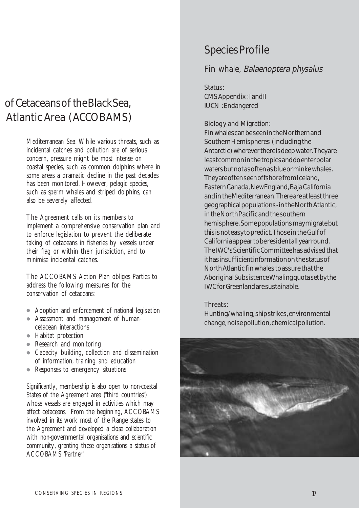## of Cetaceans of the Black Sea, Atlantic Area (ACCOBAMS)

Mediterranean Sea. While various threats, such as incidental catches and pollution are of serious concern, pressure might be most intense on coastal species, such as common dolphins where in some areas a dramatic decline in the past decades has been monitored. However, pelagic species, such as sperm whales and striped dolphins, can also be severely affected.

The Agreement calls on its members to implement a comprehensive conservation plan and to enforce legislation to prevent the deliberate taking of cetaceans in fisheries by vessels under their flag or within their jurisdiction, and to minimise incidental catches.

The ACCOBAMS Action Plan obliges Parties to address the following measures for the conservation of cetaceans:

- Adoption and enforcement of national legislation
- Assessment and management of humancetacean interactions
- Habitat protection
- Research and monitoring
- Capacity building, collection and dissemination of information, training and education
- Responses to emergency situations

Significantly, membership is also open to non-coastal States of the Agreement area ("third countries") whose vessels are engaged in activities which may affect cetaceans. From the beginning, ACCOBAMS involved in its work most of the Range states to the Agreement and developed a close collaboration with non-governmental organisations and scientific community, granting these organisations a status of ACCOBAMS 'Partner'.

### Species Profile

#### **Fin whale,** Balaenoptera physalus

#### **Status:**

CMS Appendix : I and II IUCN : Endangered

#### **Biology and Migration:**

Fin whales can be seen in the Northern and Southern Hemispheres (including the Antarctic) wherever there is deep water. They are least common in the tropics and do enter polar waters but not as often as blue or minke whales. They are often seen offshore from Iceland, Eastern Canada, New England, Baja California and in the Mediterranean. There are at least three geographical populations - in the North Atlantic, in the North Pacific and the southern hemisphere. Some populations may migrate but this is not easy to predict. Those in the Gulf of California appear to be resident all year round. The IWC's Scientific Committee has advised that it has insufficient information on the status of North Atlantic fin whales to assure that the Aboriginal Subsistence Whaling quota set by the IWCfor Greenland are sustainable.

#### **Threats:**

Hunting/whaling, ship strikes, environmental change, noise pollution, chemical pollution.

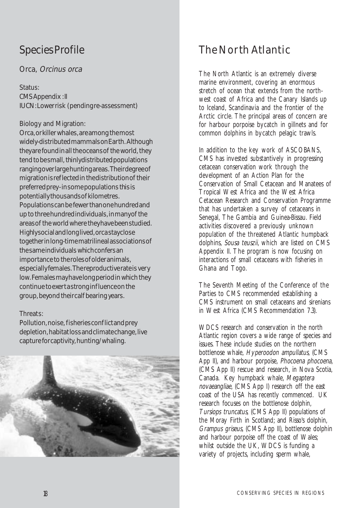#### **Orca,** Orcinus orca

#### **Status:**

CMS Appendix : II IUCN: Lower risk (pending re-assessment)

#### **Biology and Migration:**

Orca, or killer whales, are among the most widely-distributed mammals on Earth. Although they are found in all the oceans of the world, they tend to be small, thinly distributed populations ranging over large hunting areas. Their degree of migration is reflected in the distribution of their preferred prey - in some populations this is potentially thousands of kilometres. Populations can be fewer than one hundred and up to three hundred individuals, in many of the areas of the world where they have been studied. Highly social and long lived, orca stay close together in long-time matrilineal associations of the same individuals which confers an importance to the roles of older animals, especially females. The reproductive rate is very low. Females may have long period in which they continue to exert a strong influence on the group, beyond their calf bearing years.

#### **Threats:**

Pollution, noise, fisheries conflict and prey depletion, habitat loss and climate change, live capture for captivity, hunting/whaling.



## The North Atlantic

The North Atlantic is an extremely diverse marine environment, covering an enormous stretch of ocean that extends from the northwest coast of Africa and the Canary Islands up to Iceland, Scandinavia and the frontier of the Arctic circle. The principal areas of concern are for harbour porpoise bycatch in gillnets and for common dolphins in bycatch pelagic trawls.

In addition to the key work of ASCOBANS, CMS has invested substantively in progressing cetacean conservation work through the development of an Action Plan for the Conservation of Small Cetacean and Manatees of Tropical West Africa and the West Africa Cetacean Research and Conservation Programme that has undertaken a survey of cetaceans in Senegal, The Gambia and Guinea-Bissau. Field activities discovered a previously unknown population of the threatened Atlantic humpback dolphins, Sousa teuszii, which are listed on CMS Appendix II. The program is now focusing on interactions of small cetaceans with fisheries in Ghana and Togo.

The Seventh Meeting of the Conference of the Parties to CMS recommended establishing a CMS instrument on small cetaceans and sirenians in West Africa (CMS Recommendation 7.3).

WDCS research and conservation in the north Atlantic region covers a wide range of species and issues. These include studies on the northern bottlenose whale, Hyperoodon ampullatus, (CMS App II), and harbour porpoise, *Phocoena phocoena*, (CMS App II) rescue and research, in Nova Scotia, Canada. Key humpback whale, Megaptera novaeangliae, (CMS App I) research off the east coast of the USA has recently commenced. UK research focuses on the bottlenose dolphin, Tursiops truncatus, (CMS App II) populations of the Moray Firth in Scotland; and Risso's dolphin, Grampus griseus, (CMS App II), bottlenose dolphin and harbour porpoise off the coast of Wales; whilst outside the UK, WDCS is funding a variety of projects, including sperm whale,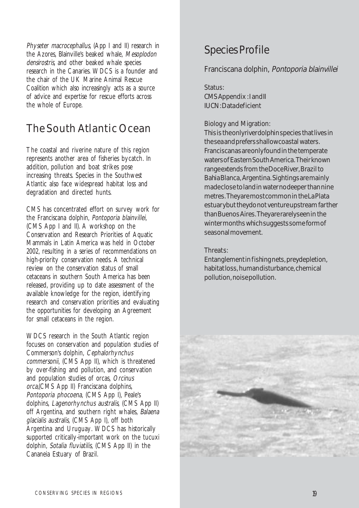Physeter macrocephallus, (App I and II) research in the Azores, Blainville's beaked whale, Mesoplodon densirostris, and other beaked whale species research in the Canaries. WDCS is a founder and the chair of the UK Marine Animal Rescue Coalition which also increasingly acts as a source of advice and expertise for rescue efforts across the whole of Europe.

## The South Atlantic Ocean

The coastal and riverine nature of this region represents another area of fisheries bycatch. In addition, pollution and boat strikes pose increasing threats. Species in the Southwest Atlantic also face widespread habitat loss and degradation and directed hunts.

CMS has concentrated effort on survey work for the Franciscana dolphin, Pontoporia blainvillei, (CMS App I and II). A workshop on the Conservation and Research Priorities of Aquatic Mammals in Latin America was held in October 2002, resulting in a series of recommendations on high-priority conservation needs. A technical review on the conservation status of small cetaceans in southern South America has been released, providing up to date assessment of the available knowledge for the region, identifying research and conservation priorities and evaluating the opportunities for developing an Agreement for small cetaceans in the region.

WDCS research in the South Atlantic region focuses on conservation and population studies of Commerson's dolphin, Cephalorhynchus commersonii, (CMS App II), which is threatened by over-fishing and pollution, and conservation and population studies of orcas, Orcinus orca,(CMS App II) Franciscana dolphins, Pontoporia phocoena, (CMS App I), Peale's dolphins, Lagenorhynchus australis, (CMS App II) off Argentina, and southern right whales, Balaena glacialis australis, (CMS App I), off both Argentina and Uruguay. WDCS has historically supported critically-important work on the tucuxi dolphin, Sotalia fluviatilis, (CMS App II) in the Cananeia Estuary of Brazil.

## Species Profile

#### **Franciscana dolphin**, Pontoporia blainvillei

#### **Status:**

CMS Appendix : I and II IUCN: Data deficient

#### **Biology and Migration:**

This is the only river dolphin species that lives in the sea and prefers shallow coastal waters. Franciscanas are only found in the temperate waters of Eastern South America. Their known range extends from the Doce River, Brazil to Bahia Blanca, Argentina. Sightings are mainly made close to land in water no deeper than nine metres. They are most common in the La Plata estuary but they do not venture upstream farther than Buenos Aires. They are rarely seen in the winter months which suggests some form of seasonal movement.

#### **Threats:**

Entanglement in fishing nets, prey depletion, habitat loss, human disturbance, chemical pollution, noise pollution.

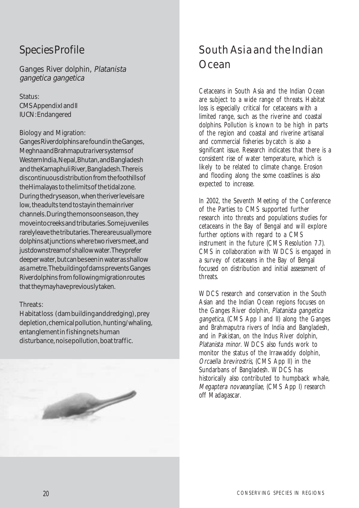**Ganges River dolphin**, Platanista gangetica gangetica

**Status:** CMS Appendix I and II IUCN: Endangered

#### **Biology and Migration:**

Ganges River dolphins are found in the Ganges, Meghna and Brahmaputra river systems of Western India, Nepal, Bhutan, and Bangladesh and the Karnaphuli River, Bangladesh. There is discontinuous distribution from the foothills of the Himalayas to the limits of the tidal zone. During the dry season, when the river levels are low, the adults tend to stay in the main river channels. During the monsoon season, they move into creeks and tributaries. Some juveniles rarely leave the tributaries. There are usually more dolphins at junctions where two rivers meet, and just downstream of shallow water. They prefer deeper water, but can be seen in water as shallow as a metre. The building of dams prevents Ganges River dolphins from following migration routes that they may have previously taken.

#### **Threats:**

Habitat loss (dam building and dredging), prey depletion, chemical pollution, hunting/whaling, entanglement in fishing nets human disturbance, noise pollution, boat traffic.



## South Asia and the Indian Ocean

Cetaceans in South Asia and the Indian Ocean are subject to a wide range of threats. Habitat loss is especially critical for cetaceans with a limited range, such as the riverine and coastal dolphins. Pollution is known to be high in parts of the region and coastal and riverine artisanal and commercial fisheries bycatch is also a significant issue. Research indicates that there is a consistent rise of water temperature, which is likely to be related to climate change. Erosion and flooding along the some coastlines is also expected to increase.

In 2002, the Seventh Meeting of the Conference of the Parties to CMS supported further research into threats and populations studies for cetaceans in the Bay of Bengal and will explore further options with regard to a CMS instrument in the future (CMS Resolution 7.7). CMS in collaboration with WDCS is engaged in a survey of cetaceans in the Bay of Bengal focused on distribution and initial assessment of **threats** 

WDCS research and conservation in the South Asian and the Indian Ocean regions focuses on the Ganges River dolphin, Platanista gangetica gangetica, (CMS App I and II) along the Ganges and Brahmaputra rivers of India and Bangladesh, and in Pakistan, on the Indus River dolphin, Platanista minor. WDCS also funds work to monitor the status of the Irrawaddy dolphin, Orcaella brevirostris, (CMS App II) in the Sundarbans of Bangladesh. WDCS has historically also contributed to humpback whale, Megaptera novaeangliae, (CMS App I) research off Madagascar.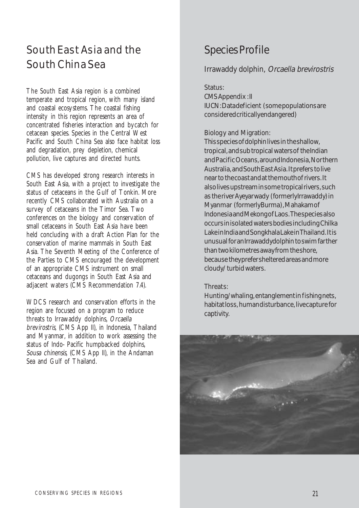## South East Asia and the South China Sea

The South East Asia region is a combined temperate and tropical region, with many island and coastal ecosystems. The coastal fishing intensity in this region represents an area of concentrated fisheries interaction and bycatch for cetacean species. Species in the Central West Pacific and South China Sea also face habitat loss and degradation, prey depletion, chemical pollution, live captures and directed hunts.

CMS has developed strong research interests in South East Asia, with a project to investigate the status of cetaceans in the Gulf of Tonkin. More recently CMS collaborated with Australia on a survey of cetaceans in the Timor Sea. Two conferences on the biology and conservation of small cetaceans in South East Asia have been held concluding with a draft Action Plan for the conservation of marine mammals in South East Asia. The Seventh Meeting of the Conference of the Parties to CMS encouraged the development of an appropriate CMS instrument on small cetaceans and dugongs in South East Asia and adjacent waters (CMS Recommendation 7.4).

WDCS research and conservation efforts in the region are focused on a program to reduce threats to Irrawaddy dolphins, Orcaella brevirostris, (CMS App II), in Indonesia, Thailand and Myanmar, in addition to work assessing the status of Indo- Pacific humpbacked dolphins, Sousa chinensis, (CMS App II), in the Andaman Sea and Gulf of Thailand.

## Species Profile

#### **Irrawaddy dolphin**, Orcaella brevirostris

#### **Status:**

CMS Appendix : II IUCN: Data deficient (some populations are considered critically endangered)

#### **Biology and Migration:**

This species of dolphin lives in the shallow, tropical, and sub tropical waters of the Indian and Pacific Oceans, around Indonesia, Northern Australia, and South East Asia. It prefers to live near to the coast and at the mouth of rivers. It also lives upstream in some tropical rivers, such as the river Ayeyar wady (formerly Irrawaddy) in Myanmar (formerly Burma), Mahakam of Indonesia and Mekong of Laos. The species also occurs in isolated waters bodies including Chilka Lake in India and Songkhala Lake in Thailand. It is unusual for an Irrawaddy dolphin to swim farther than two kilometres away from the shore, because they prefer sheltered areas and more cloudy/ turbid waters.

#### **Threats:**

Hunting/whaling, entanglement in fishing nets, habitat loss, human disturbance, live capture for captivity.

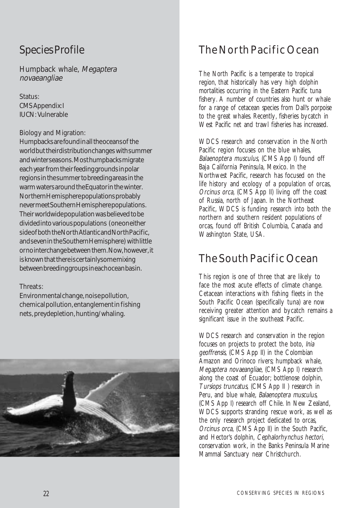**Humpback whale,** Megaptera novaeangliae

**Status:** CMS Appendix: I IUCN: Vulnerable

#### **Biology and Migration:**

Humpbacks are found in all the oceans of the world but their distribution changes with summer and winter seasons. Most humpbacks migrate each year from their feeding grounds in polar regions in the summer to breeding areas in the warm waters around the Equator in the winter. Northern Hemisphere populations probably never meet Southern Hemisphere populations. Their worldwide population was believed to be divided into various populations (one on either side of both the North Atlantic and North Pacific, and seven in the Southern Hemisphere) with little or no interchange between them. Now, however, it is known that there is certainly some mixing between breeding groups in each ocean basin.

#### **Threats:**

Environmental change, noise pollution, chemical pollution, entanglement in fishing nets, prey depletion, hunting/whaling.



## The North Pacific Ocean

The North Pacific is a temperate to tropical region, that historically has very high dolphin mortalities occurring in the Eastern Pacific tuna fishery. A number of countries also hunt or whale for a range of cetacean species from Dall's porpoise to the great whales. Recently, fisheries bycatch in West Pacific net and trawl fisheries has increased.

WDCS research and conservation in the North Pacific region focuses on the blue whales, Balaenoptera musculus, (CMS App I) found off Baja California Peninsula, Mexico. In the Northwest Pacific, research has focused on the life history and ecology of a population of orcas, Orcinus orca, (CMS App II) living off the coast of Russia, north of Japan. In the Northeast Pacific, WDCS is funding research into both the northern and southern resident populations of orcas, found off British Columbia, Canada and Washington State, USA.

## The South Pacific Ocean

This region is one of three that are likely to face the most acute effects of climate change. Cetacean interactions with fishing fleets in the South Pacific Ocean (specifically tuna) are now receiving greater attention and bycatch remains a significant issue in the southeast Pacific.

WDCS research and conservation in the region focuses on projects to protect the boto, Inia geoffrensis, (CMS App II) in the Colombian Amazon and Orinoco rivers; humpback whale, Megaptera novaeangliae, (CMS App I) research along the coast of Ecuador; bottlenose dolphin, Tursiops truncatus, (CMS App II ) research in Peru, and blue whale, Balaenoptera musculus, (CMS App I) research off Chile. In New Zealand, WDCS supports stranding rescue work, as well as the only research project dedicated to orcas, Orcinus orca, (CMS App II) in the South Pacific, and Hector's dolphin, Cephalorhynchus hectori, conservation work, in the Banks Peninsula Marine Mammal Sanctuary near Christchurch.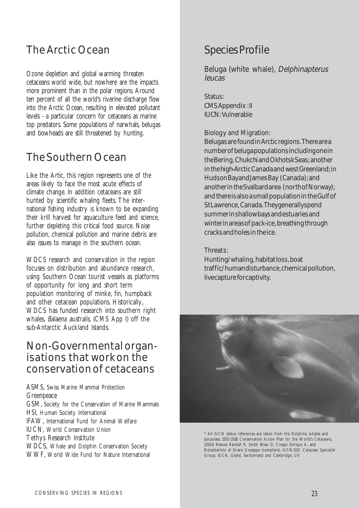## The Arctic Ocean

Ozone depletion and global warming threaten cetaceans world wide, but nowhere are the impacts more prominent than in the polar regions. Around ten percent of all the world's riverine discharge flow into the Arctic Ocean, resulting in elevated pollutant levels - a particular concern for cetaceans as marine top predators. Some populations of narwhals, belugas and bowheads are still threatened by hunting.

## The Southern Ocean

Like the Artic, this region represents one of the areas likely to face the most acute effects of climate change. In addition cetaceans are still hunted by scientific whaling fleets. The international fishing industry is known to be expanding their krill harvest for aquaculture feed and science, further depleting this critical food source. Noise pollution, chemical pollution and marine debris are also issues to manage in the southern ocean.

WDCS research and conservation in the region focuses on distribution and abundance research, using Southern Ocean tourist vessels as platforms of opportunity for long and short term population monitoring of minke, fin, humpback and other cetacean populations. Historically, WDCS has funded research into southern right whales, Balaena australis, (CMS App I) off the sub-Antarctic Auckland Islands.

### Non-Governmental organisations that work on the conservation of cetaceans

ASMS, Swiss Marine Mammal Protection Greenpeace GSM, Society for the Conservation of Marine Mammals HSI, Human Society International IFAW, International Fund for Animal Welfare IUCN, World Conservation Union Tethys Research Institute WDCS, Whale and Dolphin Conservation Society WWF, World Wide Fund for Nature International

## Species Profile

#### **Beluga (white whale),** Delphinapterus leucas

**Status:** CMS Appendix : II

IUCN: Vulnerable

#### **Biology and Migration:**

Belugas are found in Arctic regions. There are a number of beluga populations including one in the Bering, Chukchi and Okhotsk Seas; another in the high-Arctic Canada and west Greenland; in Hudson Bay and James Bay (Canada); and another in the Svalbard area (north of Norway); and there is also a small population in the Gulf of St Lawrence, Canada. They generally spend summer in shallow bays and estuaries and winter in areas of pack-ice, breathing through cracks and holes in the ice.

#### **Threats:**

Hunting/whaling, habitat loss, boat traffic/human disturbance, chemical pollution, live capture for captivity.



\* All IUCN status references are taken from the Dolphins, whales and porpoises: 2002-2010 Conservation Action Plan for the World's Cetaceans, (2003) Reeves Randall R, Smith Brian D, Crespo Enrique A, and Notarbartolo di Sciara Giuseppe (compilers), IUCN/SSC Cetacean Specialist Group, IUCN, Gland, Switzerland and Cambridge, UK